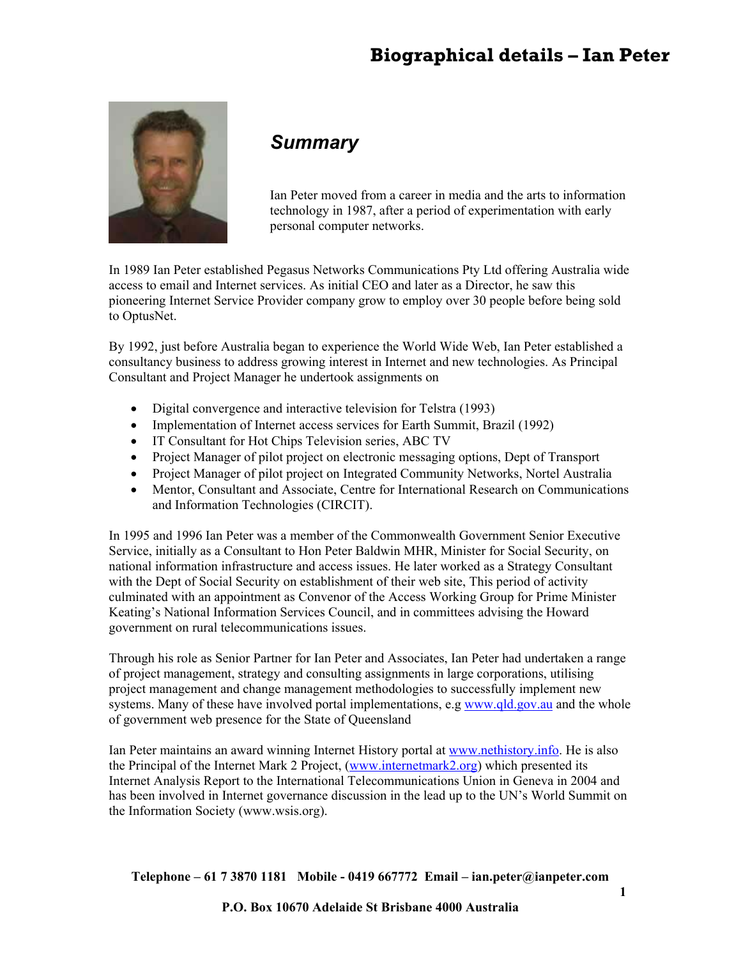# **Biographical details – Ian Peter**



# *Summary*

Ian Peter moved from a career in media and the arts to information technology in 1987, after a period of experimentation with early personal computer networks.

In 1989 Ian Peter established Pegasus Networks Communications Pty Ltd offering Australia wide access to email and Internet services. As initial CEO and later as a Director, he saw this pioneering Internet Service Provider company grow to employ over 30 people before being sold to OptusNet.

By 1992, just before Australia began to experience the World Wide Web, Ian Peter established a consultancy business to address growing interest in Internet and new technologies. As Principal Consultant and Project Manager he undertook assignments on

- Digital convergence and interactive television for Telstra (1993)
- Implementation of Internet access services for Earth Summit, Brazil (1992)
- IT Consultant for Hot Chips Television series, ABC TV
- Project Manager of pilot project on electronic messaging options, Dept of Transport
- Project Manager of pilot project on Integrated Community Networks, Nortel Australia
- Mentor, Consultant and Associate, Centre for International Research on Communications and Information Technologies (CIRCIT).

In 1995 and 1996 Ian Peter was a member of the Commonwealth Government Senior Executive Service, initially as a Consultant to Hon Peter Baldwin MHR, Minister for Social Security, on national information infrastructure and access issues. He later worked as a Strategy Consultant with the Dept of Social Security on establishment of their web site, This period of activity culminated with an appointment as Convenor of the Access Working Group for Prime Minister Keating's National Information Services Council, and in committees advising the Howard government on rural telecommunications issues.

Through his role as Senior Partner for Ian Peter and Associates, Ian Peter had undertaken a range of project management, strategy and consulting assignments in large corporations, utilising project management and change management methodologies to successfully implement new systems. Many of these have involved portal implementations, e.g www.qld.gov.au and the whole of government web presence for the State of Queensland

Ian Peter maintains an award winning Internet History portal at www.nethistory.info. He is also the Principal of the Internet Mark 2 Project, (www.internetmark2.org) which presented its Internet Analysis Report to the International Telecommunications Union in Geneva in 2004 and has been involved in Internet governance discussion in the lead up to the UN's World Summit on the Information Society (www.wsis.org).

**Telephone – 61 7 3870 1181 Mobile - 0419 667772 Email – ian.peter@ianpeter.com**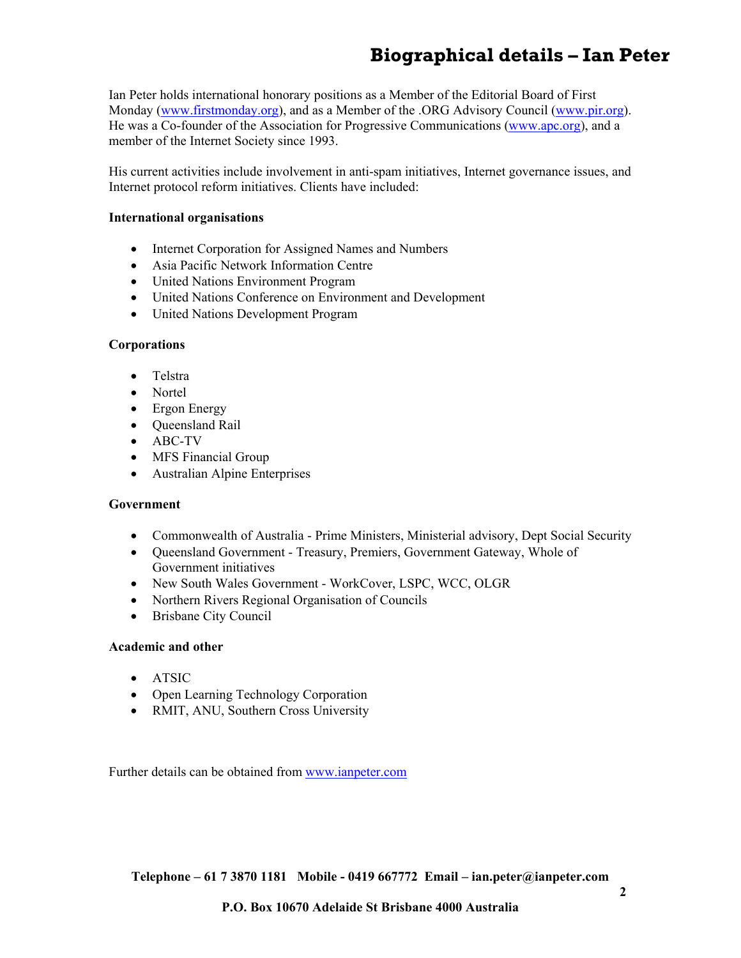# **Biographical details – Ian Peter**

Ian Peter holds international honorary positions as a Member of the Editorial Board of First Monday (www.firstmonday.org), and as a Member of the .ORG Advisory Council (www.pir.org). He was a Co-founder of the Association for Progressive Communications (www.apc.org), and a member of the Internet Society since 1993.

His current activities include involvement in anti-spam initiatives, Internet governance issues, and Internet protocol reform initiatives. Clients have included:

#### **International organisations**

- Internet Corporation for Assigned Names and Numbers
- Asia Pacific Network Information Centre
- United Nations Environment Program
- United Nations Conference on Environment and Development
- United Nations Development Program

## **Corporations**

- Telstra
- Nortel
- Ergon Energy
- Oueensland Rail
- ABC-TV
- MFS Financial Group
- Australian Alpine Enterprises

## **Government**

- Commonwealth of Australia Prime Ministers, Ministerial advisory, Dept Social Security
- Oueensland Government Treasury, Premiers, Government Gateway, Whole of Government initiatives
- New South Wales Government WorkCover, LSPC, WCC, OLGR
- Northern Rivers Regional Organisation of Councils
- Brisbane City Council

## **Academic and other**

- ATSIC
- Open Learning Technology Corporation
- RMIT, ANU, Southern Cross University

Further details can be obtained from www.ianpeter.com

**Telephone – 61 7 3870 1181 Mobile - 0419 667772 Email – ian.peter@ianpeter.com**